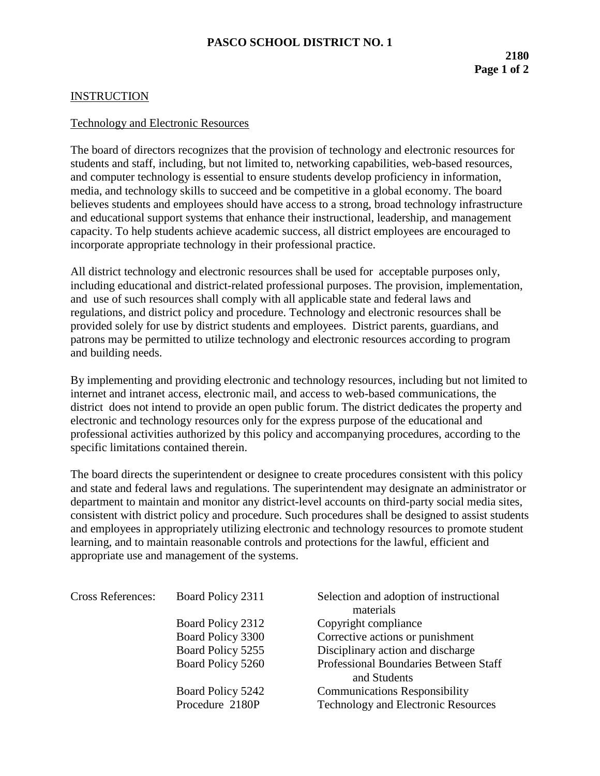## **INSTRUCTION**

## Technology and Electronic Resources

The board of directors recognizes that the provision of technology and electronic resources for students and staff, including, but not limited to, networking capabilities, web-based resources, and computer technology is essential to ensure students develop proficiency in information, media, and technology skills to succeed and be competitive in a global economy. The board believes students and employees should have access to a strong, broad technology infrastructure and educational support systems that enhance their instructional, leadership, and management capacity. To help students achieve academic success, all district employees are encouraged to incorporate appropriate technology in their professional practice.

All district technology and electronic resources shall be used for acceptable purposes only, including educational and district-related professional purposes. The provision, implementation, and use of such resources shall comply with all applicable state and federal laws and regulations, and district policy and procedure. Technology and electronic resources shall be provided solely for use by district students and employees. District parents, guardians, and patrons may be permitted to utilize technology and electronic resources according to program and building needs.

By implementing and providing electronic and technology resources, including but not limited to internet and intranet access, electronic mail, and access to web-based communications, the district does not intend to provide an open public forum. The district dedicates the property and electronic and technology resources only for the express purpose of the educational and professional activities authorized by this policy and accompanying procedures, according to the specific limitations contained therein.

The board directs the superintendent or designee to create procedures consistent with this policy and state and federal laws and regulations. The superintendent may designate an administrator or department to maintain and monitor any district-level accounts on third-party social media sites, consistent with district policy and procedure. Such procedures shall be designed to assist students and employees in appropriately utilizing electronic and technology resources to promote student learning, and to maintain reasonable controls and protections for the lawful, efficient and appropriate use and management of the systems.

| <b>Cross References:</b> | Board Policy 2311 | Selection and adoption of instructional |
|--------------------------|-------------------|-----------------------------------------|
|                          |                   | materials                               |
|                          | Board Policy 2312 | Copyright compliance                    |
|                          | Board Policy 3300 | Corrective actions or punishment        |
|                          | Board Policy 5255 | Disciplinary action and discharge       |
|                          | Board Policy 5260 | Professional Boundaries Between Staff   |
|                          |                   | and Students                            |
|                          | Board Policy 5242 | <b>Communications Responsibility</b>    |
|                          | Procedure 2180P   | Technology and Electronic Resources     |